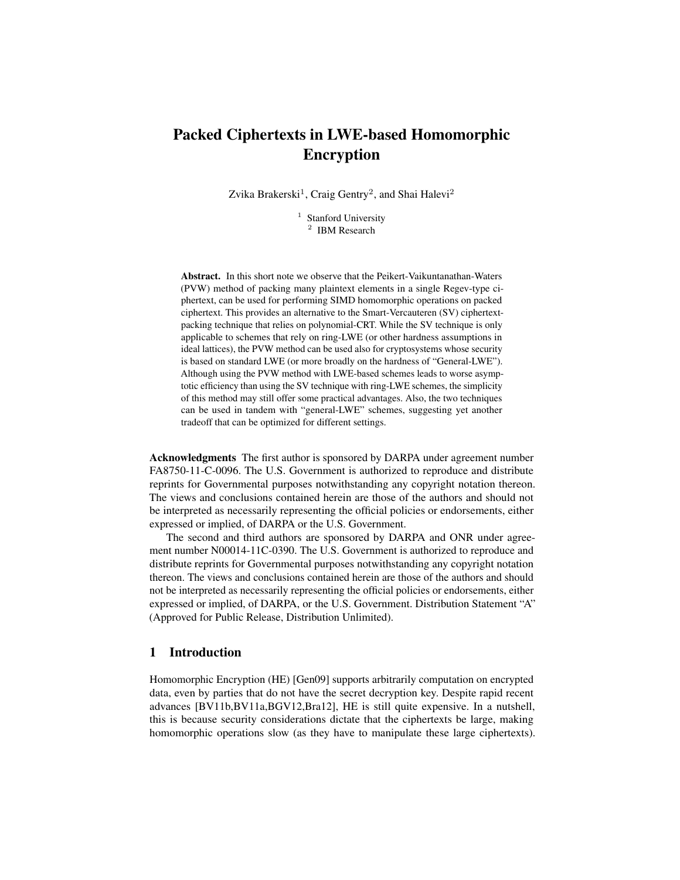# Packed Ciphertexts in LWE-based Homomorphic Encryption

Zvika Brakerski $^1$ , Craig Gentry<sup>2</sup>, and Shai Halevi<sup>2</sup>

<sup>1</sup> Stanford University 2 IBM Research

Abstract. In this short note we observe that the Peikert-Vaikuntanathan-Waters (PVW) method of packing many plaintext elements in a single Regev-type ciphertext, can be used for performing SIMD homomorphic operations on packed ciphertext. This provides an alternative to the Smart-Vercauteren (SV) ciphertextpacking technique that relies on polynomial-CRT. While the SV technique is only applicable to schemes that rely on ring-LWE (or other hardness assumptions in ideal lattices), the PVW method can be used also for cryptosystems whose security is based on standard LWE (or more broadly on the hardness of "General-LWE"). Although using the PVW method with LWE-based schemes leads to worse asymptotic efficiency than using the SV technique with ring-LWE schemes, the simplicity of this method may still offer some practical advantages. Also, the two techniques can be used in tandem with "general-LWE" schemes, suggesting yet another tradeoff that can be optimized for different settings.

Acknowledgments The first author is sponsored by DARPA under agreement number FA8750-11-C-0096. The U.S. Government is authorized to reproduce and distribute reprints for Governmental purposes notwithstanding any copyright notation thereon. The views and conclusions contained herein are those of the authors and should not be interpreted as necessarily representing the official policies or endorsements, either expressed or implied, of DARPA or the U.S. Government.

The second and third authors are sponsored by DARPA and ONR under agreement number N00014-11C-0390. The U.S. Government is authorized to reproduce and distribute reprints for Governmental purposes notwithstanding any copyright notation thereon. The views and conclusions contained herein are those of the authors and should not be interpreted as necessarily representing the official policies or endorsements, either expressed or implied, of DARPA, or the U.S. Government. Distribution Statement "A" (Approved for Public Release, Distribution Unlimited).

# 1 Introduction

Homomorphic Encryption (HE) [Gen09] supports arbitrarily computation on encrypted data, even by parties that do not have the secret decryption key. Despite rapid recent advances [BV11b,BV11a,BGV12,Bra12], HE is still quite expensive. In a nutshell, this is because security considerations dictate that the ciphertexts be large, making homomorphic operations slow (as they have to manipulate these large ciphertexts).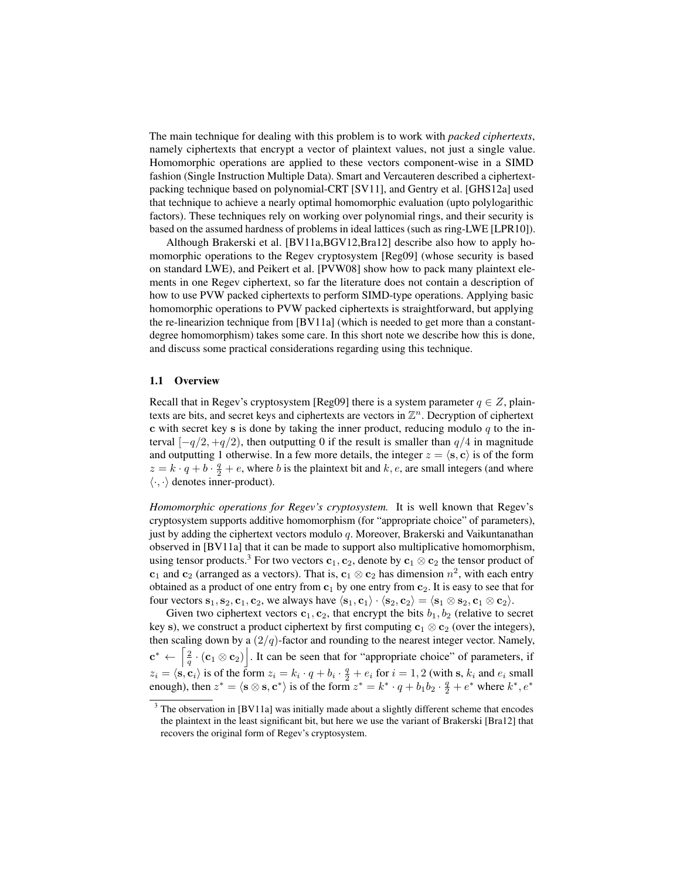The main technique for dealing with this problem is to work with *packed ciphertexts*, namely ciphertexts that encrypt a vector of plaintext values, not just a single value. Homomorphic operations are applied to these vectors component-wise in a SIMD fashion (Single Instruction Multiple Data). Smart and Vercauteren described a ciphertextpacking technique based on polynomial-CRT [SV11], and Gentry et al. [GHS12a] used that technique to achieve a nearly optimal homomorphic evaluation (upto polylogarithic factors). These techniques rely on working over polynomial rings, and their security is based on the assumed hardness of problems in ideal lattices (such as ring-LWE [LPR10]).

Although Brakerski et al. [BV11a,BGV12,Bra12] describe also how to apply homomorphic operations to the Regev cryptosystem [Reg09] (whose security is based on standard LWE), and Peikert et al. [PVW08] show how to pack many plaintext elements in one Regev ciphertext, so far the literature does not contain a description of how to use PVW packed ciphertexts to perform SIMD-type operations. Applying basic homomorphic operations to PVW packed ciphertexts is straightforward, but applying the re-linearizion technique from [BV11a] (which is needed to get more than a constantdegree homomorphism) takes some care. In this short note we describe how this is done, and discuss some practical considerations regarding using this technique.

## 1.1 Overview

Recall that in Regev's cryptosystem [Reg09] there is a system parameter  $q \in Z$ , plaintexts are bits, and secret keys and ciphertexts are vectors in  $\mathbb{Z}^n$ . Decryption of ciphertext c with secret key s is done by taking the inner product, reducing modulo  $q$  to the interval  $[-q/2, +q/2)$ , then outputting 0 if the result is smaller than  $q/4$  in magnitude and outputting 1 otherwise. In a few more details, the integer  $z = \langle s, c \rangle$  is of the form  $z = k \cdot q + b \cdot \frac{q}{2} + e$ , where b is the plaintext bit and k, e, are small integers (and where  $\langle \cdot, \cdot \rangle$  denotes inner-product).

*Homomorphic operations for Regev's cryptosystem.* It is well known that Regev's cryptosystem supports additive homomorphism (for "appropriate choice" of parameters), just by adding the ciphertext vectors modulo  $q$ . Moreover, Brakerski and Vaikuntanathan observed in [BV11a] that it can be made to support also multiplicative homomorphism, using tensor products.<sup>3</sup> For two vectors  $c_1, c_2$ , denote by  $c_1 \otimes c_2$  the tensor product of  $c_1$  and  $c_2$  (arranged as a vectors). That is,  $c_1 \otimes c_2$  has dimension  $n^2$ , with each entry obtained as a product of one entry from  $c_1$  by one entry from  $c_2$ . It is easy to see that for four vectors  $\mathbf{s}_1, \mathbf{s}_2, \mathbf{c}_1, \mathbf{c}_2$ , we always have  $\langle \mathbf{s}_1, \mathbf{c}_1 \rangle \cdot \langle \mathbf{s}_2, \mathbf{c}_2 \rangle = \langle \mathbf{s}_1 \otimes \mathbf{s}_2, \mathbf{c}_1 \otimes \mathbf{c}_2 \rangle$ .

Given two ciphertext vectors  $c_1, c_2$ , that encrypt the bits  $b_1, b_2$  (relative to secret key s), we construct a product ciphertext by first computing  $c_1 \otimes c_2$  (over the integers), then scaling down by a  $\left(\frac{2}{q}\right)$ -factor and rounding to the nearest integer vector. Namely,  $\mathbf{c}^* \leftarrow \begin{bmatrix} \frac{2}{q} \cdot (\mathbf{c}_1 \otimes \mathbf{c}_2) \end{bmatrix}$ . It can be seen that for "appropriate choice" of parameters, if  $z_i = \langle \mathbf{s}, \mathbf{c}_i \rangle$  is of the form  $z_i = k_i \cdot q + b_i \cdot \frac{q}{2} + e_i$  for  $i = 1, 2$  (with s,  $k_i$  and  $e_i$  small enough), then  $z^* = \langle s \otimes s, c^* \rangle$  is of the form  $z^* = k^* \cdot q + b_1 b_2 \cdot \frac{q}{2} + e^*$  where  $k^*, e^*$ 

<sup>&</sup>lt;sup>3</sup> The observation in [BV11a] was initially made about a slightly different scheme that encodes the plaintext in the least significant bit, but here we use the variant of Brakerski [Bra12] that recovers the original form of Regev's cryptosystem.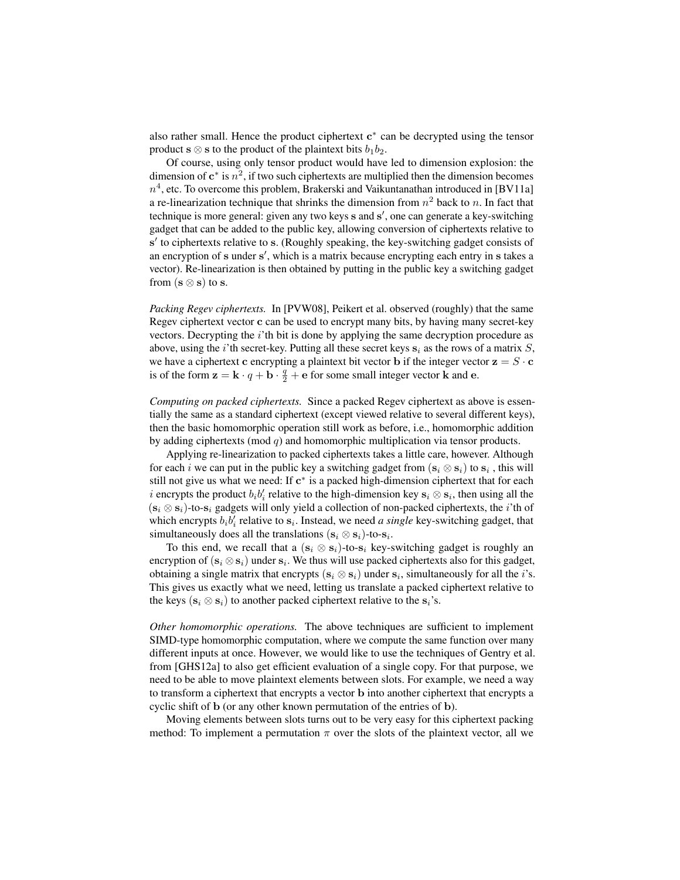also rather small. Hence the product ciphertext  $c^*$  can be decrypted using the tensor product s  $\otimes$  s to the product of the plaintext bits  $b_1b_2$ .

Of course, using only tensor product would have led to dimension explosion: the dimension of  $c^*$  is  $n^2$ , if two such ciphertexts are multiplied then the dimension becomes  $n^4$ , etc. To overcome this problem, Brakerski and Vaikuntanathan introduced in [BV11a] a re-linearization technique that shrinks the dimension from  $n^2$  back to n. In fact that technique is more general: given any two keys s and s', one can generate a key-switching gadget that can be added to the public key, allowing conversion of ciphertexts relative to s' to ciphertexts relative to s. (Roughly speaking, the key-switching gadget consists of an encryption of s under s', which is a matrix because encrypting each entry in s takes a vector). Re-linearization is then obtained by putting in the public key a switching gadget from  $(s \otimes s)$  to s.

*Packing Regev ciphertexts.* In [PVW08], Peikert et al. observed (roughly) that the same Regev ciphertext vector c can be used to encrypt many bits, by having many secret-key vectors. Decrypting the *i*'th bit is done by applying the same decryption procedure as above, using the *i*'th secret-key. Putting all these secret keys  $s_i$  as the rows of a matrix S, we have a ciphertext c encrypting a plaintext bit vector b if the integer vector  $z = S \cdot c$ is of the form  $\mathbf{z} = \mathbf{k} \cdot q + \mathbf{b} \cdot \frac{q}{2} + \mathbf{e}$  for some small integer vector **k** and **e**.

*Computing on packed ciphertexts.* Since a packed Regev ciphertext as above is essentially the same as a standard ciphertext (except viewed relative to several different keys), then the basic homomorphic operation still work as before, i.e., homomorphic addition by adding ciphertexts (mod  $q$ ) and homomorphic multiplication via tensor products.

Applying re-linearization to packed ciphertexts takes a little care, however. Although for each i we can put in the public key a switching gadget from  $(s_i \otimes s_i)$  to  $s_i$ , this will still not give us what we need: If  $c^*$  is a packed high-dimension ciphertext that for each i encrypts the product  $b_i b'_i$  relative to the high-dimension key  $s_i \otimes s_i$ , then using all the  $(\mathbf{s}_i \otimes \mathbf{s}_i)$ -to- $\mathbf{s}_i$  gadgets will only yield a collection of non-packed ciphertexts, the *i*'th of which encrypts  $b_i b'_i$  relative to  $s_i$ . Instead, we need *a single* key-switching gadget, that simultaneously does all the translations  $(\mathbf{s}_i \otimes \mathbf{s}_i)$ -to- $\mathbf{s}_i$ .

To this end, we recall that a  $(s_i \otimes s_i)$ -to-s<sub>i</sub> key-switching gadget is roughly an encryption of  $(\mathbf{s}_i \otimes \mathbf{s}_i)$  under  $\mathbf{s}_i$ . We thus will use packed ciphertexts also for this gadget, obtaining a single matrix that encrypts  $(s_i \otimes s_i)$  under  $s_i$ , simultaneously for all the *i*'s. This gives us exactly what we need, letting us translate a packed ciphertext relative to the keys  $(s_i \otimes s_i)$  to another packed ciphertext relative to the  $s_i$ 's.

*Other homomorphic operations.* The above techniques are sufficient to implement SIMD-type homomorphic computation, where we compute the same function over many different inputs at once. However, we would like to use the techniques of Gentry et al. from [GHS12a] to also get efficient evaluation of a single copy. For that purpose, we need to be able to move plaintext elements between slots. For example, we need a way to transform a ciphertext that encrypts a vector b into another ciphertext that encrypts a cyclic shift of b (or any other known permutation of the entries of b).

Moving elements between slots turns out to be very easy for this ciphertext packing method: To implement a permutation  $\pi$  over the slots of the plaintext vector, all we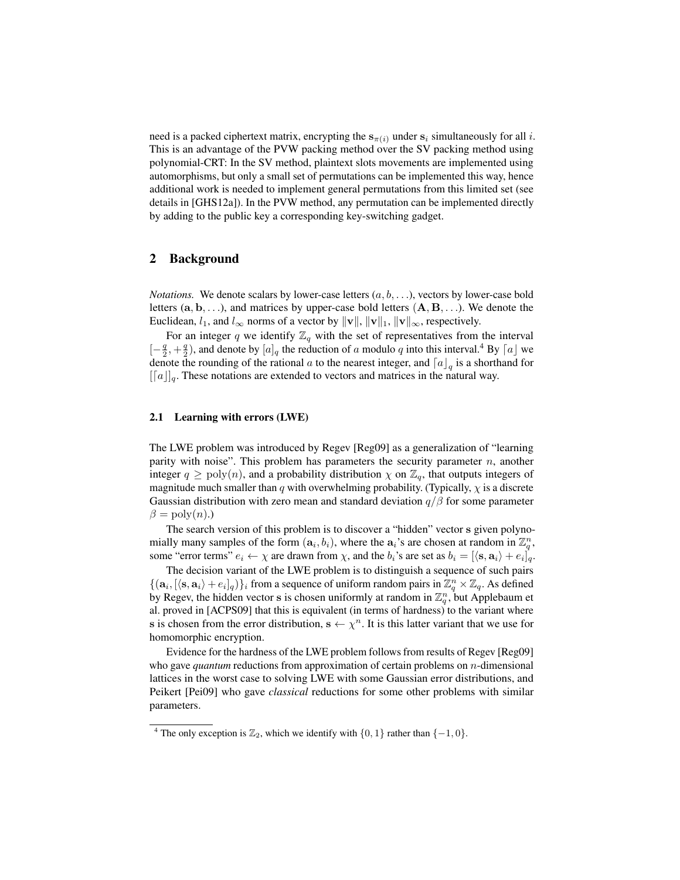need is a packed ciphertext matrix, encrypting the  $s_{\pi(i)}$  under  $s_i$  simultaneously for all i. This is an advantage of the PVW packing method over the SV packing method using polynomial-CRT: In the SV method, plaintext slots movements are implemented using automorphisms, but only a small set of permutations can be implemented this way, hence additional work is needed to implement general permutations from this limited set (see details in [GHS12a]). In the PVW method, any permutation can be implemented directly by adding to the public key a corresponding key-switching gadget.

# 2 Background

*Notations.* We denote scalars by lower-case letters  $(a, b, \ldots)$ , vectors by lower-case bold letters  $(a, b, \ldots)$ , and matrices by upper-case bold letters  $(A, B, \ldots)$ . We denote the Euclidean,  $l_1$ , and  $l_{\infty}$  norms of a vector by  $\|\mathbf{v}\|$ ,  $\|\mathbf{v}\|_1$ ,  $\|\mathbf{v}\|_{\infty}$ , respectively.

For an integer q we identify  $\mathbb{Z}_q$  with the set of representatives from the interval  $[-\frac{q}{2}, +\frac{q}{2})$ , and denote by  $[a]_q$  the reduction of a modulo q into this interval.<sup>4</sup> By  $[a]$  we denote the rounding of the rational a to the nearest integer, and  $\lceil a \rfloor_q$  is a shorthand for  $\left[\left[a\right]\right]_q$ . These notations are extended to vectors and matrices in the natural way.

## 2.1 Learning with errors (LWE)

The LWE problem was introduced by Regev [Reg09] as a generalization of "learning parity with noise". This problem has parameters the security parameter  $n$ , another integer  $q \geq \text{poly}(n)$ , and a probability distribution  $\chi$  on  $\mathbb{Z}_q$ , that outputs integers of magnitude much smaller than q with overwhelming probability. (Typically,  $\chi$  is a discrete Gaussian distribution with zero mean and standard deviation  $q/\beta$  for some parameter  $\beta = \text{poly}(n)$ .)

The search version of this problem is to discover a "hidden" vector s given polynomially many samples of the form  $(a_i, b_i)$ , where the  $a_i$ 's are chosen at random in  $\mathbb{Z}_q^n$ , some "error terms"  $e_i \leftarrow \chi$  are drawn from  $\chi$ , and the  $b_i$ 's are set as  $b_i = [\langle \mathbf{s}, \mathbf{a}_i \rangle + e_i]_q$ .

The decision variant of the LWE problem is to distinguish a sequence of such pairs  $\{(\mathbf{a}_i, [\langle \mathbf{s}, \mathbf{a}_i \rangle + e_i]_q)\}\$ <sub>i</sub> from a sequence of uniform random pairs in  $\mathbb{Z}_q^n \times \mathbb{Z}_q$ . As defined by Regev, the hidden vector s is chosen uniformly at random in  $\mathbb{Z}_q^n$ , but Applebaum et al. proved in [ACPS09] that this is equivalent (in terms of hardness) to the variant where s is chosen from the error distribution,  $s \leftarrow \chi^n$ . It is this latter variant that we use for homomorphic encryption.

Evidence for the hardness of the LWE problem follows from results of Regev [Reg09] who gave *quantum* reductions from approximation of certain problems on *n*-dimensional lattices in the worst case to solving LWE with some Gaussian error distributions, and Peikert [Pei09] who gave *classical* reductions for some other problems with similar parameters.

<sup>&</sup>lt;sup>4</sup> The only exception is  $\mathbb{Z}_2$ , which we identify with  $\{0, 1\}$  rather than  $\{-1, 0\}$ .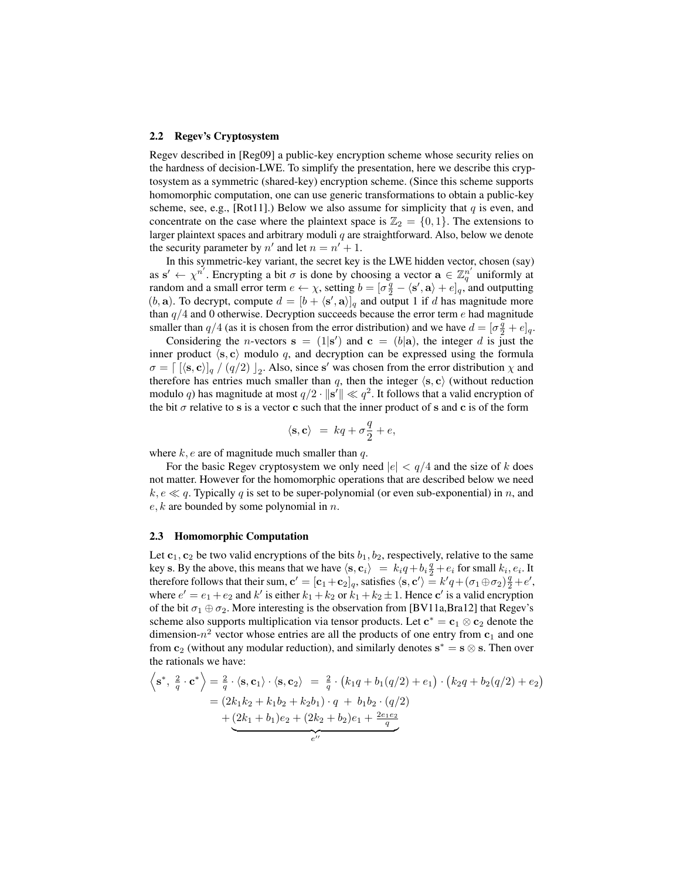#### 2.2 Regev's Cryptosystem

Regev described in [Reg09] a public-key encryption scheme whose security relies on the hardness of decision-LWE. To simplify the presentation, here we describe this cryptosystem as a symmetric (shared-key) encryption scheme. (Since this scheme supports homomorphic computation, one can use generic transformations to obtain a public-key scheme, see, e.g., [Rot11].) Below we also assume for simplicity that  $q$  is even, and concentrate on the case where the plaintext space is  $\mathbb{Z}_2 = \{0, 1\}$ . The extensions to larger plaintext spaces and arbitrary moduli  $q$  are straightforward. Also, below we denote the security parameter by  $n'$  and let  $n = n' + 1$ .

In this symmetric-key variant, the secret key is the LWE hidden vector, chosen (say) as  $s' \leftarrow \chi^{n'}$ . Encrypting a bit  $\sigma$  is done by choosing a vector  $a \in \mathbb{Z}_q^{n'}$  uniformly at random and a small error term  $e \leftarrow \chi$ , setting  $b = [\sigma \frac{q}{2} - \langle s', a \rangle + e]_q$ , and outputting  $(b, a)$ . To decrypt, compute  $d = [b + \langle s', a \rangle]_q$  and output 1 if d has magnitude more than  $q/4$  and 0 otherwise. Decryption succeeds because the error term  $e$  had magnitude smaller than  $q/4$  (as it is chosen from the error distribution) and we have  $d = [\sigma \frac{\overline{q}}{2} + e]_q$ .

Considering the *n*-vectors  $\mathbf{s} = (1|\mathbf{s}')$  and  $\mathbf{c} = (b|\mathbf{a})$ , the integer d is just the inner product  $\langle s, c \rangle$  modulo q, and decryption can be expressed using the formula  $\sigma = \left[ (\mathbf{s}, \mathbf{c}) \right]_q / (q/2) \right]_2$ . Also, since s' was chosen from the error distribution  $\chi$  and therefore has entries much smaller than q, then the integer  $\langle s, c \rangle$  (without reduction modulo q) has magnitude at most  $q/2 \cdot ||\mathbf{s}'|| \ll q^2$ . It follows that a valid encryption of the bit  $\sigma$  relative to s is a vector c such that the inner product of s and c is of the form

$$
\langle {\bf s},{\bf c} \rangle \ = \ k q + \sigma \frac{q}{2} + e,
$$

where  $k$ ,  $e$  are of magnitude much smaller than  $q$ .

For the basic Regev cryptosystem we only need  $|e| < q/4$  and the size of k does not matter. However for the homomorphic operations that are described below we need  $k, e \ll q$ . Typically q is set to be super-polynomial (or even sub-exponential) in n, and  $e, k$  are bounded by some polynomial in  $n$ .

## 2.3 Homomorphic Computation

Let  $c_1, c_2$  be two valid encryptions of the bits  $b_1, b_2$ , respectively, relative to the same key s. By the above, this means that we have  $\langle s, c_i \rangle = k_i q + b_i \frac{q}{2} + e_i$  for small  $k_i, e_i$ . It therefore follows that their sum,  $\mathbf{c}' = [\mathbf{c}_1 + \mathbf{c}_2]_q$ , satisfies  $\langle \mathbf{s}, \mathbf{c}' \rangle \stackrel{\sim}{=} k'q + (\sigma_1 \oplus \sigma_2)\frac{q}{2} + e'$ , where  $e' = e_1 + e_2$  and k' is either  $k_1 + k_2$  or  $k_1 + k_2 \pm 1$ . Hence c' is a valid encryption of the bit  $\sigma_1 \oplus \sigma_2$ . More interesting is the observation from [BV11a,Bra12] that Regev's scheme also supports multiplication via tensor products. Let  $\mathbf{c}^* = \mathbf{c}_1 \otimes \mathbf{c}_2$  denote the dimension- $n^2$  vector whose entries are all the products of one entry from  $c_1$  and one from  $\mathbf{c}_2$  (without any modular reduction), and similarly denotes  $\mathbf{s}^* = \mathbf{s} \otimes \mathbf{s}$ . Then over the rationals we have:

$$
\left\langle \mathbf{s}^*, \frac{2}{q} \cdot \mathbf{c}^* \right\rangle = \frac{2}{q} \cdot \left\langle \mathbf{s}, \mathbf{c}_1 \right\rangle \cdot \left\langle \mathbf{s}, \mathbf{c}_2 \right\rangle = \frac{2}{q} \cdot \left( k_1 q + b_1 (q/2) + e_1 \right) \cdot \left( k_2 q + b_2 (q/2) + e_2 \right) = (2k_1 k_2 + k_1 b_2 + k_2 b_1) \cdot q + b_1 b_2 \cdot (q/2) + \underbrace{(2k_1 + b_1) e_2 + (2k_2 + b_2) e_1 + \frac{2e_1 e_2}{q}}_{e^{\prime\prime}}
$$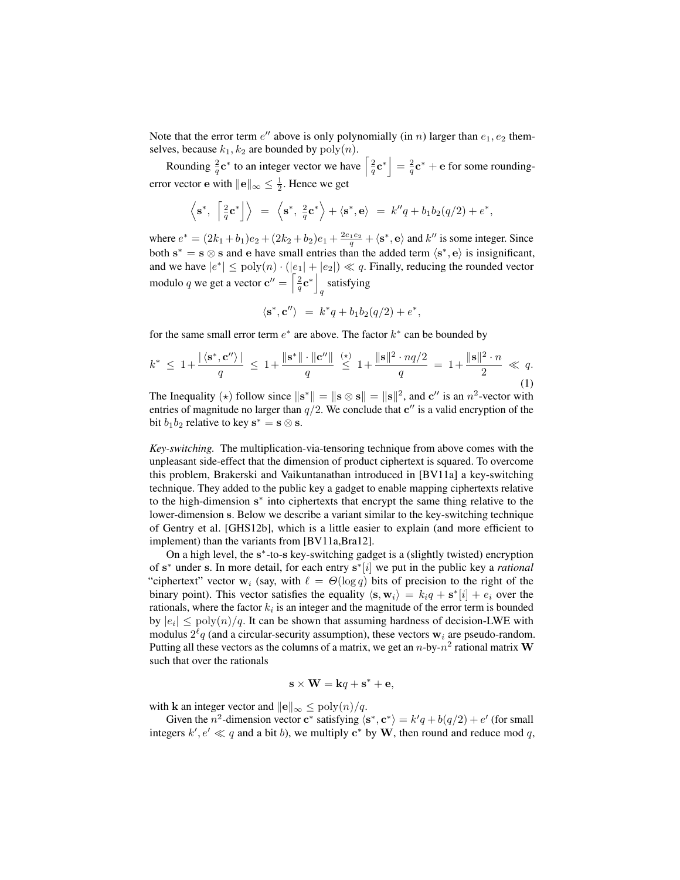Note that the error term  $e''$  above is only polynomially (in n) larger than  $e_1, e_2$  themselves, because  $k_1, k_2$  are bounded by  $poly(n)$ .

Rounding  $\frac{2}{q}e^*$  to an integer vector we have  $\left[\frac{2}{q}e^*\right] = \frac{2}{q}e^* + e$  for some roundingerror vector e with  $\|\mathbf{e}\|_{\infty} \leq \frac{1}{2}$ . Hence we get

$$
\langle \mathbf{s}^*, \left| \frac{2}{q} \mathbf{c}^* \right| \rangle = \langle \mathbf{s}^*, \frac{2}{q} \mathbf{c}^* \rangle + \langle \mathbf{s}^*, \mathbf{e} \rangle = k''q + b_1b_2(q/2) + e^*,
$$

where  $e^* = (2k_1 + b_1)e_2 + (2k_2 + b_2)e_1 + \frac{2e_1e_2}{q} + \langle s^*, \mathbf{e} \rangle$  and  $k''$  is some integer. Since both  $s^* = s \otimes s$  and e have small entries than the added term  $\langle s^*, e \rangle$  is insignificant, and we have  $|e^*| \leq \text{poly}(n) \cdot (|e_1| + |e_2|) \ll q$ . Finally, reducing the rounded vector modulo q we get a vector  $\mathbf{c}'' = \left[\frac{2}{q} \mathbf{c}^*\right]$ q satisfying

$$
\langle \mathbf{s}^*, \mathbf{c}'' \rangle = k^*q + b_1b_2(q/2) + e^*,
$$

for the same small error term  $e^*$  are above. The factor  $k^*$  can be bounded by

$$
k^* \le 1 + \frac{|\langle \mathbf{s}^*, \mathbf{c}'' \rangle|}{q} \le 1 + \frac{\|\mathbf{s}^*\| \cdot \|\mathbf{c}''\|}{q} \stackrel{(*)}{\le} 1 + \frac{\|\mathbf{s}\|^2 \cdot nq/2}{q} = 1 + \frac{\|\mathbf{s}\|^2 \cdot n}{2} \ll q.
$$
\n(1)

The Inequality  $(\star)$  follow since  $\|\mathbf{s}^*\| = \|\mathbf{s} \otimes \mathbf{s}\| = \|\mathbf{s}\|^2$ , and  $\mathbf{c}''$  is an  $n^2$ -vector with entries of magnitude no larger than  $q/2$ . We conclude that  $c''$  is a valid encryption of the bit  $b_1b_2$  relative to key  $\mathbf{s}^* = \mathbf{s} \otimes \mathbf{s}$ .

*Key-switching.* The multiplication-via-tensoring technique from above comes with the unpleasant side-effect that the dimension of product ciphertext is squared. To overcome this problem, Brakerski and Vaikuntanathan introduced in [BV11a] a key-switching technique. They added to the public key a gadget to enable mapping ciphertexts relative to the high-dimension s<sup>\*</sup> into ciphertexts that encrypt the same thing relative to the lower-dimension s. Below we describe a variant similar to the key-switching technique of Gentry et al. [GHS12b], which is a little easier to explain (and more efficient to implement) than the variants from [BV11a,Bra12].

On a high level, the s<sup>\*</sup>-to-s key-switching gadget is a (slightly twisted) encryption of s <sup>∗</sup> under s. In more detail, for each entry s ∗ [i] we put in the public key a *rational* "ciphertext" vector  $w_i$  (say, with  $\ell = \Theta(\log q)$  bits of precision to the right of the binary point). This vector satisfies the equality  $\langle \mathbf{s}, \mathbf{w}_i \rangle = k_i q + \mathbf{s}^* [i] + e_i$  over the rationals, where the factor  $k_i$  is an integer and the magnitude of the error term is bounded by  $|e_i| \le \text{poly}(n)/q$ . It can be shown that assuming hardness of decision-LWE with modulus  $2^{\ell}q$  (and a circular-security assumption), these vectors  $w_i$  are pseudo-random. Putting all these vectors as the columns of a matrix, we get an n-by- $n^2$  rational matrix W such that over the rationals

$$
\mathbf{s} \times \mathbf{W} = \mathbf{k}q + \mathbf{s}^* + \mathbf{e},
$$

with **k** an integer vector and  $\|\mathbf{e}\|_{\infty} \le \text{poly}(n)/q$ .

Given the n<sup>2</sup>-dimension vector  $\mathbf{c}^*$  satisfying  $\langle \mathbf{s}^*, \mathbf{c}^* \rangle = k'q + b(q/2) + e'$  (for small integers  $k', e' \ll q$  and a bit b), we multiply  $c^*$  by W, then round and reduce mod q,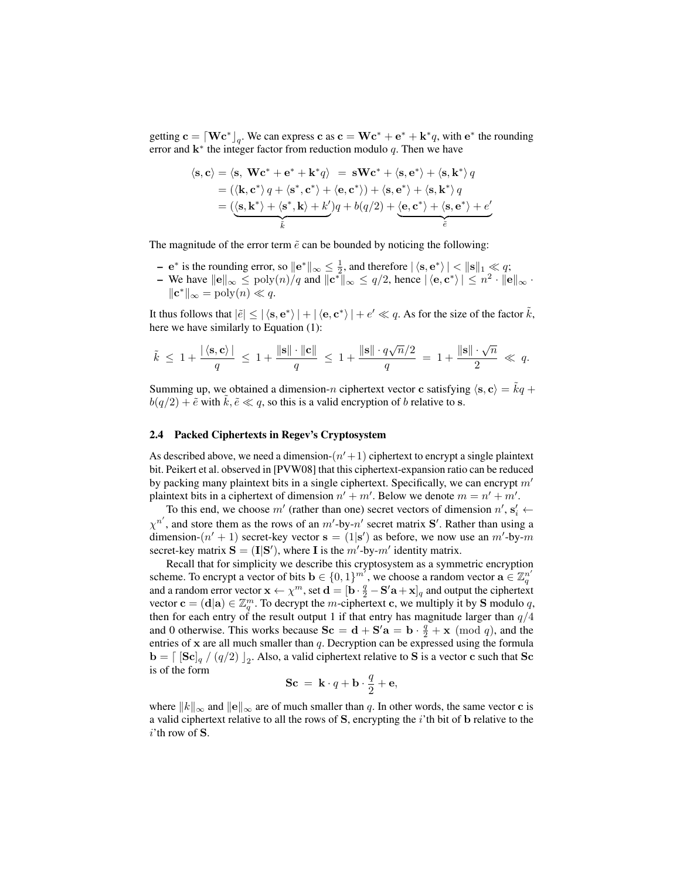getting  $\mathbf{c} = [\mathbf{W} \mathbf{c}^*]_q$ . We can express c as  $\mathbf{c} = \mathbf{W} \mathbf{c}^* + \mathbf{e}^* + \mathbf{k}^* q$ , with  $\mathbf{e}^*$  the rounding error and  $\mathbf{k}^*$  the integer factor from reduction modulo q. Then we have

$$
\langle \mathbf{s}, \mathbf{c} \rangle = \langle \mathbf{s}, \mathbf{W} \mathbf{c}^* + \mathbf{e}^* + \mathbf{k}^* q \rangle = \mathbf{s} \mathbf{W} \mathbf{c}^* + \langle \mathbf{s}, \mathbf{e}^* \rangle + \langle \mathbf{s}, \mathbf{k}^* \rangle q
$$
  
\n
$$
= (\langle \mathbf{k}, \mathbf{c}^* \rangle q + \langle \mathbf{s}^*, \mathbf{c}^* \rangle + \langle \mathbf{e}, \mathbf{c}^* \rangle) + \langle \mathbf{s}, \mathbf{e}^* \rangle + \langle \mathbf{s}, \mathbf{k}^* \rangle q
$$
  
\n
$$
= (\langle \mathbf{s}, \mathbf{k}^* \rangle + \langle \mathbf{s}^*, \mathbf{k} \rangle + k') q + b(q/2) + \langle \mathbf{e}, \mathbf{c}^* \rangle + \langle \mathbf{s}, \mathbf{e}^* \rangle + e' \langle \mathbf{s}, \mathbf{e}^* \rangle + e' \langle \mathbf{s}, \mathbf{e}^* \rangle + e' \langle \mathbf{s}, \mathbf{e}^* \rangle + e' \langle \mathbf{s}, \mathbf{e}^* \rangle + e' \langle \mathbf{s}, \mathbf{e}^* \rangle + e' \langle \mathbf{s}, \mathbf{e}^* \rangle + e' \langle \mathbf{s}, \mathbf{e}^* \rangle + e' \langle \mathbf{s}, \mathbf{e}^* \rangle + e' \langle \mathbf{s}, \mathbf{e}^* \rangle + e' \langle \mathbf{s}, \mathbf{e}^* \rangle + e' \langle \mathbf{s}, \mathbf{e}^* \rangle + e' \langle \mathbf{s}, \mathbf{e}^* \rangle + e' \langle \mathbf{s}, \mathbf{e}^* \rangle + e' \langle \mathbf{s}, \mathbf{e}^* \rangle + e' \langle \mathbf{s}, \mathbf{e}^* \rangle + e' \langle \mathbf{s}, \mathbf{e}^* \rangle + e' \langle \mathbf{s}, \mathbf{e}^* \rangle + e' \langle \mathbf{s}, \mathbf{e}^* \rangle + e' \langle \mathbf{s}, \mathbf{e}^* \rangle + e' \langle \mathbf{s}, \mathbf{e}^* \rangle + e' \langle \mathbf{s}, \mathbf{e}^* \rangle + e' \langle \mathbf{s}, \mathbf{e}^* \rangle + e' \langle \math
$$

The magnitude of the error term  $\tilde{e}$  can be bounded by noticing the following:

- −  $e^*$  is the rounding error, so  $||e^*||_{\infty} \le \frac{1}{2}$ , and therefore  $|\langle s, e^* \rangle| < ||s||_1 \ll q$ ;
- We have  $\|\mathbf{e}\|_{\infty} \leq \text{poly}(n)/q$  and  $\|\mathbf{c}^*\|_{\infty} \leq q/2$ , hence  $|\langle \mathbf{e}, \mathbf{c}^* \rangle| \leq n^2 \cdot \|\mathbf{e}\|_{\infty}$ .  $\|\mathbf{c}^*\|_{\infty} = \text{poly}(n) \ll q.$

It thus follows that  $|\tilde{e}| \leq |\langle \mathbf{s}, \mathbf{e}^* \rangle| + |\langle \mathbf{e}, \mathbf{c}^* \rangle| + e' \ll q$ . As for the size of the factor  $\tilde{k}$ , here we have similarly to Equation (1):

$$
\tilde{k} \le 1 + \frac{|\langle \mathbf{s}, \mathbf{c} \rangle|}{q} \le 1 + \frac{\|\mathbf{s}\| \cdot \|\mathbf{c}\|}{q} \le 1 + \frac{\|\mathbf{s}\| \cdot q\sqrt{n}/2}{q} = 1 + \frac{\|\mathbf{s}\| \cdot \sqrt{n}}{2} \ll q.
$$

Summing up, we obtained a dimension-n ciphertext vector c satisfying  $\langle s, c \rangle = \tilde{k}q +$  $b(q/2) + \tilde{e}$  with  $\tilde{k}, \tilde{e} \ll q$ , so this is a valid encryption of b relative to s.

## 2.4 Packed Ciphertexts in Regev's Cryptosystem

As described above, we need a dimension- $(n'+1)$  ciphertext to encrypt a single plaintext bit. Peikert et al. observed in [PVW08] that this ciphertext-expansion ratio can be reduced by packing many plaintext bits in a single ciphertext. Specifically, we can encrypt  $m'$ plaintext bits in a ciphertext of dimension  $n' + m'$ . Below we denote  $m = n' + m'$ .

To this end, we choose  $m'$  (rather than one) secret vectors of dimension  $n'$ ,  $s'_i \leftarrow$  $\chi^{n'}$ , and store them as the rows of an m'-by-n' secret matrix S'. Rather than using a dimension- $(n' + 1)$  secret-key vector  $s = (1|s')$  as before, we now use an m'-by-m secret-key matrix  $S = (I|S')$ , where I is the m'-by-m' identity matrix.

Recall that for simplicity we describe this cryptosystem as a symmetric encryption scheme. To encrypt a vector of bits  $\mathbf{b} \in \{0,1\}^{m'}$ , we choose a random vector  $\mathbf{a} \in \mathbb{Z}_q^{n'}$ and a random error vector  $\mathbf{x} \leftarrow \chi^m$ , set  $\mathbf{d} = [\mathbf{b} \cdot \frac{q}{2} - \mathbf{S}'\mathbf{a} + \mathbf{x}]_q$  and output the ciphertext vector  $\mathbf{c} = (\mathbf{d}|\mathbf{a}) \in \mathbb{Z}_q^m$ . To decrypt the *m*-ciphertext **c**, we multiply it by **S** modulo q, then for each entry of the result output 1 if that entry has magnitude larger than  $q/4$ and 0 otherwise. This works because  $\mathbf{Sc} = \mathbf{d} + \mathbf{S}'\mathbf{a} = \mathbf{b} \cdot \frac{q}{2} + \mathbf{x} \pmod{q}$ , and the entries of  $x$  are all much smaller than  $q$ . Decryption can be expressed using the formula  $\mathbf{b} = \left[ [\mathbf{Sc}]_q / (q/2) \right]_2$ . Also, a valid ciphertext relative to S is a vector c such that Sc is of the form

$$
\mathbf{Sc} \ = \ \mathbf{k} \cdot q + \mathbf{b} \cdot \frac{q}{2} + \mathbf{e},
$$

where  $||k||_{\infty}$  and  $||e||_{\infty}$  are of much smaller than q. In other words, the same vector c is a valid ciphertext relative to all the rows of S, encrypting the i'th bit of b relative to the i'th row of S.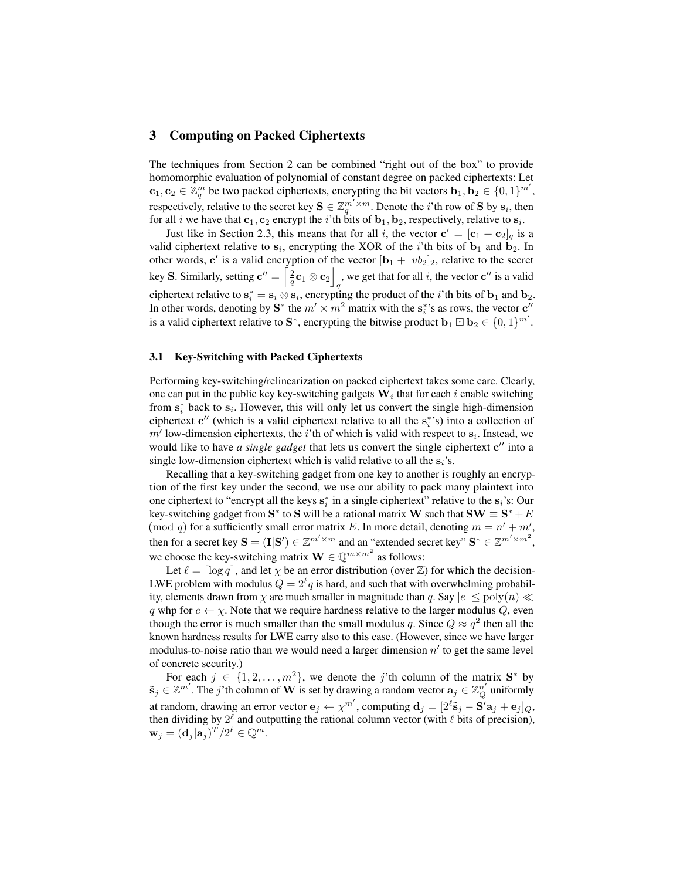# 3 Computing on Packed Ciphertexts

The techniques from Section 2 can be combined "right out of the box" to provide homomorphic evaluation of polynomial of constant degree on packed ciphertexts: Let  $\mathbf{c}_1, \mathbf{c}_2 \in \mathbb{Z}_q^m$  be two packed ciphertexts, encrypting the bit vectors  $\mathbf{b}_1, \mathbf{b}_2 \in \{0,1\}^{m'}$ , respectively, relative to the secret key  $\mathbf{S} \in \mathbb{Z}_q^{m' \times m}$ . Denote the *i*'th row of  $\mathbf{S}$  by  $\mathbf{s}_i$ , then for all *i* we have that  $c_1, c_2$  encrypt the *i*'th bits of  $\mathbf{b}_1, \mathbf{b}_2$ , respectively, relative to  $\mathbf{s}_i$ .

Just like in Section 2.3, this means that for all i, the vector  $\mathbf{c}' = [\mathbf{c}_1 + \mathbf{c}_2]_q$  is a valid ciphertext relative to  $s_i$ , encrypting the XOR of the *i*'th bits of  $b_1$  and  $b_2$ . In other words, c' is a valid encryption of the vector  $[\mathbf{b}_1 + v \mathbf{b}_2]_2$ , relative to the secret key S. Similarly, setting  $\mathbf{c}'' = \left\lceil \frac{2}{q} \mathbf{c}_1 \otimes \mathbf{c}_2 \right\rceil$ , we get that for all i, the vector  $\mathbf{c}''$  is a valid ciphertext relative to  $\mathbf{s}_i^* = \mathbf{s}_i \otimes \mathbf{s}_i$ , encrypting the product of the *i*'th bits of  $\mathbf{b}_1$  and  $\mathbf{b}_2$ . In other words, denoting by  $S^*$  the  $m' \times m^2$  matrix with the  $s_i^*$ 's as rows, the vector  $c''$ is a valid ciphertext relative to  $S^*$ , encrypting the bitwise product  $\mathbf{b}_1 \boxdot \mathbf{b}_2 \in \{0,1\}^{m'}$ .

## 3.1 Key-Switching with Packed Ciphertexts

Performing key-switching/relinearization on packed ciphertext takes some care. Clearly, one can put in the public key key-switching gadgets  $W_i$  that for each i enable switching from  $s_i^*$  back to  $s_i$ . However, this will only let us convert the single high-dimension ciphertext  $c''$  (which is a valid ciphertext relative to all the  $s_i^*$ 's) into a collection of  $m'$  low-dimension ciphertexts, the i'th of which is valid with respect to  $s_i$ . Instead, we would like to have *a single gadget* that lets us convert the single ciphertext c" into a single low-dimension ciphertext which is valid relative to all the  $s_i$ 's.

Recalling that a key-switching gadget from one key to another is roughly an encryption of the first key under the second, we use our ability to pack many plaintext into one ciphertext to "encrypt all the keys  $s_i^*$  in a single ciphertext" relative to the  $s_i$ 's: Our key-switching gadget from  $S^*$  to S will be a rational matrix W such that  $SW \equiv S^* + E$ (mod q) for a sufficiently small error matrix E. In more detail, denoting  $m = n' + m'$ , then for a secret key  $\mathbf{S} = (\mathbf{I}|\mathbf{S}') \in \mathbb{Z}^{m' \times m}$  and an "extended secret key"  $\mathbf{S}^* \in \mathbb{Z}^{m' \times m^2}$ , we choose the key-switching matrix  $\mathbf{W} \in \mathbb{Q}^{m \times m^2}$  as follows:

Let  $\ell = \lceil \log q \rceil$ , and let  $\chi$  be an error distribution (over  $\mathbb{Z}$ ) for which the decision-LWE problem with modulus  $Q = 2^{\ell}q$  is hard, and such that with overwhelming probability, elements drawn from  $\chi$  are much smaller in magnitude than q. Say  $|e| \le \text{poly}(n) \ll$ q whp for  $e \leftarrow \chi$ . Note that we require hardness relative to the larger modulus  $Q$ , even though the error is much smaller than the small modulus q. Since  $Q \approx q^2$  then all the known hardness results for LWE carry also to this case. (However, since we have larger modulus-to-noise ratio than we would need a larger dimension  $n'$  to get the same level of concrete security.)

For each  $j \in \{1, 2, ..., m^2\}$ , we denote the j'th column of the matrix  $S^*$  by  $\tilde{s}_j \in \mathbb{Z}^{m'}$ . The j'th column of **W** is set by drawing a random vector  $a_j \in \mathbb{Z}_Q^{n'}$  uniformly at random, drawing an error vector  $\mathbf{e}_j \leftarrow \chi^{m'}$ , computing  $\mathbf{d}_j = [2^{\ell} \tilde{\mathbf{s}}_j - \mathbf{S'} \mathbf{a}_j + \mathbf{e}_j]_Q$ , then dividing by  $2^{\ell}$  and outputting the rational column vector (with  $\ell$  bits of precision),  $\mathbf{w}_j = (\mathbf{d}_j | \mathbf{a}_j)^T/2^{\ell} \in \mathbb{Q}^m.$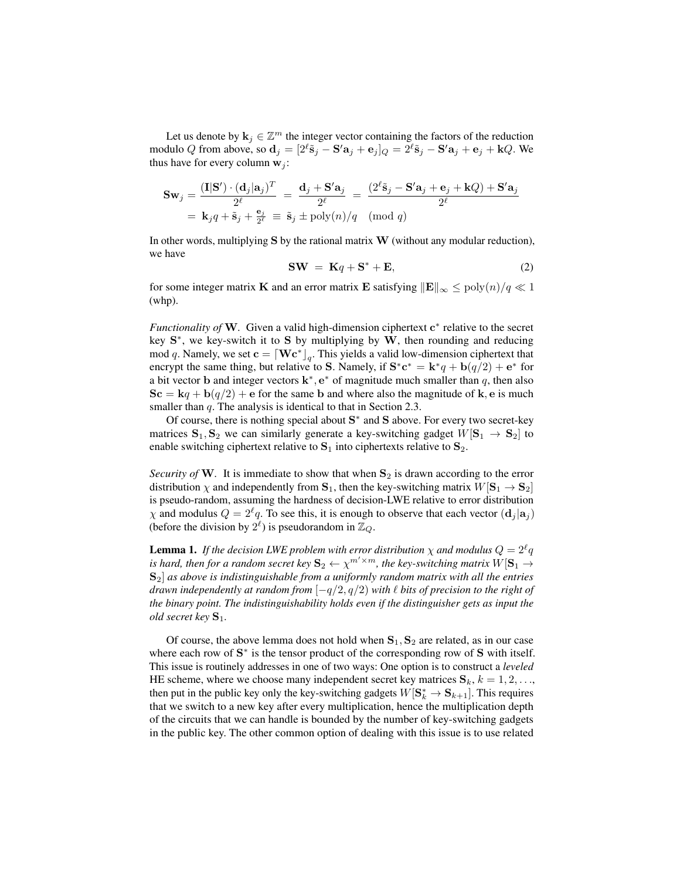Let us denote by  $\mathbf{k}_j \in \mathbb{Z}^m$  the integer vector containing the factors of the reduction modulo  $Q$  from above, so  $\mathbf{d}_j = [2^{\ell} \tilde{\mathbf{s}}_j - \mathbf{S}'\mathbf{a}_j + \mathbf{e}_j]_Q = 2^{\ell} \tilde{\mathbf{s}}_j - \mathbf{S}'\mathbf{a}_j + \mathbf{e}_j + \mathbf{k}Q$ . We thus have for every column  $w_i$ :

$$
\mathbf{S}\mathbf{w}_{j} = \frac{(\mathbf{I}|\mathbf{S}') \cdot (\mathbf{d}_{j}|\mathbf{a}_{j})^{T}}{2^{\ell}} = \frac{\mathbf{d}_{j} + \mathbf{S}'\mathbf{a}_{j}}{2^{\ell}} = \frac{(2^{\ell}\tilde{\mathbf{s}}_{j} - \mathbf{S}'\mathbf{a}_{j} + \mathbf{e}_{j} + \mathbf{k}Q) + \mathbf{S}'\mathbf{a}_{j}}{2^{\ell}}
$$
  
=  $\mathbf{k}_{j}q + \tilde{\mathbf{s}}_{j} + \frac{\mathbf{e}_{j}}{2^{\ell}} \equiv \tilde{\mathbf{s}}_{j} \pm \text{poly}(n)/q \pmod{q}$ 

In other words, multiplying  $S$  by the rational matrix  $W$  (without any modular reduction), we have

$$
SW = Kq + S^* + E,
$$
 (2)

for some integer matrix **K** and an error matrix **E** satisfying  $\|\mathbf{E}\|_{\infty} \le \text{poly}(n)/q \ll 1$ (whp).

*Functionality of* W. Given a valid high-dimension ciphertext  $c^*$  relative to the secret key  $S^*$ , we key-switch it to S by multiplying by W, then rounding and reducing mod q. Namely, we set  $\mathbf{c} = [\mathbf{W} \mathbf{c}^*]_q$ . This yields a valid low-dimension ciphertext that encrypt the same thing, but relative to S. Namely, if  $S^*c^* = \mathbf{k}^*q + \mathbf{b}(q/2) + \mathbf{e}^*$  for a bit vector b and integer vectors  $\mathbf{k}^*, \mathbf{e}^*$  of magnitude much smaller than q, then also  $\mathbf{Sc} = \mathbf{k}q + \mathbf{b}(q/2) + \mathbf{e}$  for the same b and where also the magnitude of k, e is much smaller than  $q$ . The analysis is identical to that in Section 2.3.

Of course, there is nothing special about S<sup>\*</sup> and S above. For every two secret-key matrices  $S_1, S_2$  we can similarly generate a key-switching gadget  $W[S_1 \rightarrow S_2]$  to enable switching ciphertext relative to  $S_1$  into ciphertexts relative to  $S_2$ .

*Security of* W. It is immediate to show that when  $S_2$  is drawn according to the error distribution  $\chi$  and independently from  $S_1$ , then the key-switching matrix  $W[S_1 \rightarrow S_2]$ is pseudo-random, assuming the hardness of decision-LWE relative to error distribution  $\chi$  and modulus  $Q = 2^{\ell}q$ . To see this, it is enough to observe that each vector  $(\mathbf{d}_j | \mathbf{a}_j)$ (before the division by  $2^{\ell}$ ) is pseudorandom in  $\mathbb{Z}_Q$ .

**Lemma 1.** If the decision LWE problem with error distribution  $\chi$  and modulus  $Q = 2^\ell q$ is hard, then for a random secret key  $S_2 \leftarrow \chi^{m' \times m}$ , the key-switching matrix  $W[S_1 \rightarrow$ S2] *as above is indistinguishable from a uniformly random matrix with all the entries drawn independently at random from*  $[-q/2, q/2)$  *with*  $\ell$  *bits of precision to the right of the binary point. The indistinguishability holds even if the distinguisher gets as input the old secret key*  $S_1$ *.* 

Of course, the above lemma does not hold when  $S_1, S_2$  are related, as in our case where each row of  $S^*$  is the tensor product of the corresponding row of  $S$  with itself. This issue is routinely addresses in one of two ways: One option is to construct a *leveled* HE scheme, where we choose many independent secret key matrices  $S_k$ ,  $k = 1, 2, \ldots$ , then put in the public key only the key-switching gadgets  $W[\mathbf{S}_k^* \to \mathbf{S}_{k+1}]$ . This requires that we switch to a new key after every multiplication, hence the multiplication depth of the circuits that we can handle is bounded by the number of key-switching gadgets in the public key. The other common option of dealing with this issue is to use related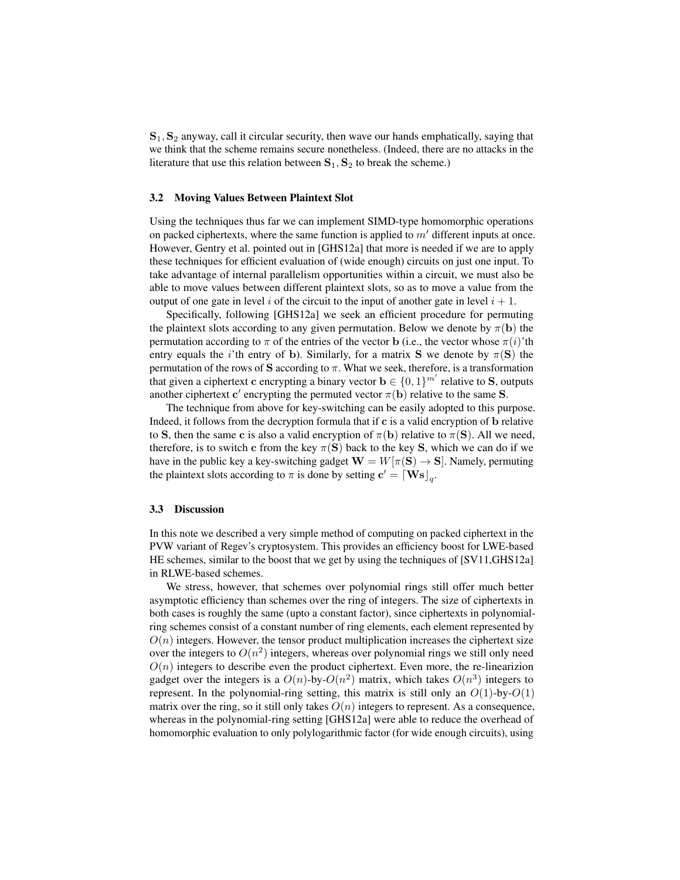$S_1, S_2$  anyway, call it circular security, then wave our hands emphatically, saying that we think that the scheme remains secure nonetheless. (Indeed, there are no attacks in the literature that use this relation between  $S_1, S_2$  to break the scheme.)

#### 3.2 Moving Values Between Plaintext Slot

Using the techniques thus far we can implement SIMD-type homomorphic operations on packed ciphertexts, where the same function is applied to  $m'$  different inputs at once. However, Gentry et al. pointed out in [GHS12a] that more is needed if we are to apply these techniques for efficient evaluation of (wide enough) circuits on just one input. To take advantage of internal parallelism opportunities within a circuit, we must also be able to move values between different plaintext slots, so as to move a value from the output of one gate in level i of the circuit to the input of another gate in level  $i + 1$ .

Specifically, following [GHS12a] we seek an efficient procedure for permuting the plaintext slots according to any given permutation. Below we denote by  $\pi(\mathbf{b})$  the permutation according to  $\pi$  of the entries of the vector b (i.e., the vector whose  $\pi(i)$ 'th entry equals the *i*'th entry of b). Similarly, for a matrix S we denote by  $\pi(S)$  the permutation of the rows of S according to  $\pi$ . What we seek, therefore, is a transformation that given a ciphertext c encrypting a binary vector  $\mathbf{b} \in \{0,1\}^{m'}$  relative to S, outputs another ciphertext c' encrypting the permuted vector  $\pi(\mathbf{b})$  relative to the same S.

The technique from above for key-switching can be easily adopted to this purpose. Indeed, it follows from the decryption formula that if c is a valid encryption of b relative to S, then the same c is also a valid encryption of  $\pi(\mathbf{b})$  relative to  $\pi(\mathbf{S})$ . All we need, therefore, is to switch c from the key  $\pi(S)$  back to the key S, which we can do if we have in the public key a key-switching gadget  $\mathbf{W} = W[\pi(\mathbf{S}) \to \mathbf{S}]$ . Namely, permuting the plaintext slots according to  $\pi$  is done by setting  $\mathbf{c}' = [\mathbf{W}\mathbf{s}]_q$ .

#### 3.3 Discussion

In this note we described a very simple method of computing on packed ciphertext in the PVW variant of Regev's cryptosystem. This provides an efficiency boost for LWE-based HE schemes, similar to the boost that we get by using the techniques of [SV11,GHS12a] in RLWE-based schemes.

We stress, however, that schemes over polynomial rings still offer much better asymptotic efficiency than schemes over the ring of integers. The size of ciphertexts in both cases is roughly the same (upto a constant factor), since ciphertexts in polynomialring schemes consist of a constant number of ring elements, each element represented by  $O(n)$  integers. However, the tensor product multiplication increases the ciphertext size over the integers to  $O(n^2)$  integers, whereas over polynomial rings we still only need  $O(n)$  integers to describe even the product ciphertext. Even more, the re-linearizion gadget over the integers is a  $O(n)$ -by- $O(n^2)$  matrix, which takes  $O(n^3)$  integers to represent. In the polynomial-ring setting, this matrix is still only an  $O(1)$ -by- $O(1)$ matrix over the ring, so it still only takes  $O(n)$  integers to represent. As a consequence, whereas in the polynomial-ring setting [GHS12a] were able to reduce the overhead of homomorphic evaluation to only polylogarithmic factor (for wide enough circuits), using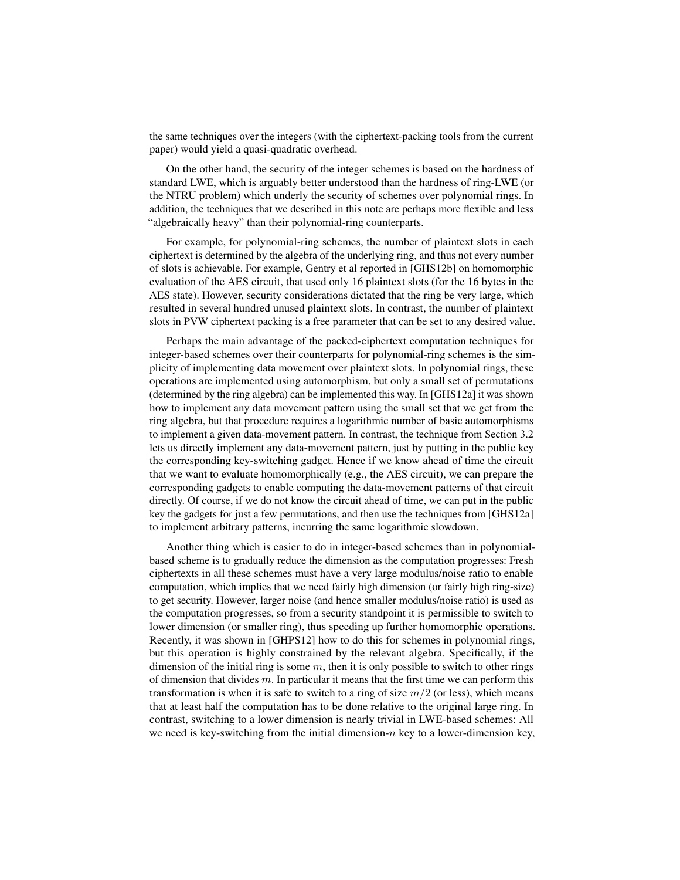the same techniques over the integers (with the ciphertext-packing tools from the current paper) would yield a quasi-quadratic overhead.

On the other hand, the security of the integer schemes is based on the hardness of standard LWE, which is arguably better understood than the hardness of ring-LWE (or the NTRU problem) which underly the security of schemes over polynomial rings. In addition, the techniques that we described in this note are perhaps more flexible and less "algebraically heavy" than their polynomial-ring counterparts.

For example, for polynomial-ring schemes, the number of plaintext slots in each ciphertext is determined by the algebra of the underlying ring, and thus not every number of slots is achievable. For example, Gentry et al reported in [GHS12b] on homomorphic evaluation of the AES circuit, that used only 16 plaintext slots (for the 16 bytes in the AES state). However, security considerations dictated that the ring be very large, which resulted in several hundred unused plaintext slots. In contrast, the number of plaintext slots in PVW ciphertext packing is a free parameter that can be set to any desired value.

Perhaps the main advantage of the packed-ciphertext computation techniques for integer-based schemes over their counterparts for polynomial-ring schemes is the simplicity of implementing data movement over plaintext slots. In polynomial rings, these operations are implemented using automorphism, but only a small set of permutations (determined by the ring algebra) can be implemented this way. In [GHS12a] it was shown how to implement any data movement pattern using the small set that we get from the ring algebra, but that procedure requires a logarithmic number of basic automorphisms to implement a given data-movement pattern. In contrast, the technique from Section 3.2 lets us directly implement any data-movement pattern, just by putting in the public key the corresponding key-switching gadget. Hence if we know ahead of time the circuit that we want to evaluate homomorphically (e.g., the AES circuit), we can prepare the corresponding gadgets to enable computing the data-movement patterns of that circuit directly. Of course, if we do not know the circuit ahead of time, we can put in the public key the gadgets for just a few permutations, and then use the techniques from [GHS12a] to implement arbitrary patterns, incurring the same logarithmic slowdown.

Another thing which is easier to do in integer-based schemes than in polynomialbased scheme is to gradually reduce the dimension as the computation progresses: Fresh ciphertexts in all these schemes must have a very large modulus/noise ratio to enable computation, which implies that we need fairly high dimension (or fairly high ring-size) to get security. However, larger noise (and hence smaller modulus/noise ratio) is used as the computation progresses, so from a security standpoint it is permissible to switch to lower dimension (or smaller ring), thus speeding up further homomorphic operations. Recently, it was shown in [GHPS12] how to do this for schemes in polynomial rings, but this operation is highly constrained by the relevant algebra. Specifically, if the dimension of the initial ring is some  $m$ , then it is only possible to switch to other rings of dimension that divides  $m$ . In particular it means that the first time we can perform this transformation is when it is safe to switch to a ring of size  $m/2$  (or less), which means that at least half the computation has to be done relative to the original large ring. In contrast, switching to a lower dimension is nearly trivial in LWE-based schemes: All we need is key-switching from the initial dimension- $n$  key to a lower-dimension key,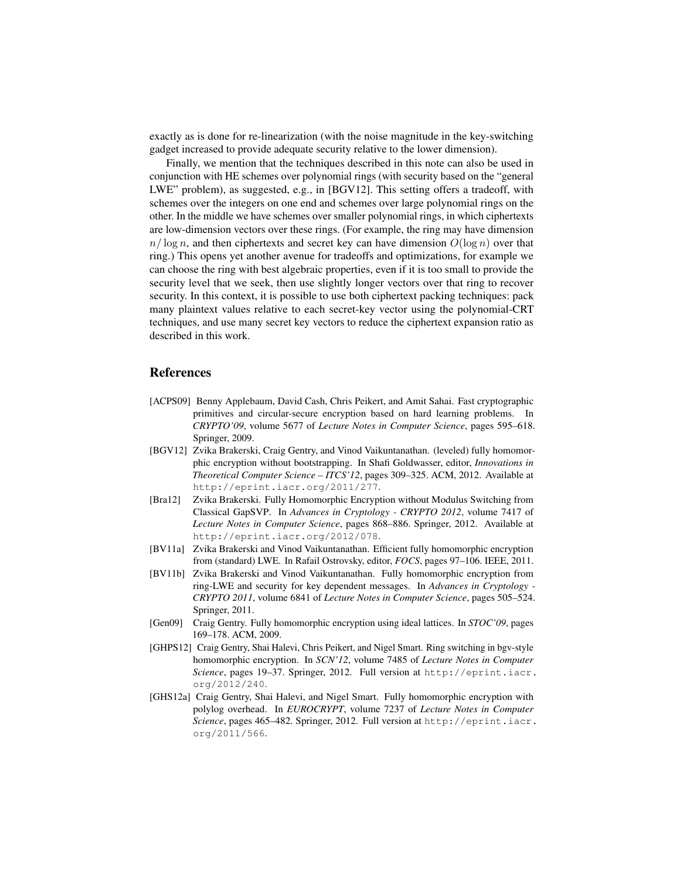exactly as is done for re-linearization (with the noise magnitude in the key-switching gadget increased to provide adequate security relative to the lower dimension).

Finally, we mention that the techniques described in this note can also be used in conjunction with HE schemes over polynomial rings (with security based on the "general LWE" problem), as suggested, e.g., in [BGV12]. This setting offers a tradeoff, with schemes over the integers on one end and schemes over large polynomial rings on the other. In the middle we have schemes over smaller polynomial rings, in which ciphertexts are low-dimension vectors over these rings. (For example, the ring may have dimension  $n/\log n$ , and then ciphertexts and secret key can have dimension  $O(\log n)$  over that ring.) This opens yet another avenue for tradeoffs and optimizations, for example we can choose the ring with best algebraic properties, even if it is too small to provide the security level that we seek, then use slightly longer vectors over that ring to recover security. In this context, it is possible to use both ciphertext packing techniques: pack many plaintext values relative to each secret-key vector using the polynomial-CRT techniques, and use many secret key vectors to reduce the ciphertext expansion ratio as described in this work.

# References

- [ACPS09] Benny Applebaum, David Cash, Chris Peikert, and Amit Sahai. Fast cryptographic primitives and circular-secure encryption based on hard learning problems. In *CRYPTO'09*, volume 5677 of *Lecture Notes in Computer Science*, pages 595–618. Springer, 2009.
- [BGV12] Zvika Brakerski, Craig Gentry, and Vinod Vaikuntanathan. (leveled) fully homomorphic encryption without bootstrapping. In Shafi Goldwasser, editor, *Innovations in Theoretical Computer Science – ITCS'12*, pages 309–325. ACM, 2012. Available at http://eprint.iacr.org/2011/277.
- [Bra12] Zvika Brakerski. Fully Homomorphic Encryption without Modulus Switching from Classical GapSVP. In *Advances in Cryptology - CRYPTO 2012*, volume 7417 of *Lecture Notes in Computer Science*, pages 868–886. Springer, 2012. Available at http://eprint.iacr.org/2012/078.
- [BV11a] Zvika Brakerski and Vinod Vaikuntanathan. Efficient fully homomorphic encryption from (standard) LWE. In Rafail Ostrovsky, editor, *FOCS*, pages 97–106. IEEE, 2011.
- [BV11b] Zvika Brakerski and Vinod Vaikuntanathan. Fully homomorphic encryption from ring-LWE and security for key dependent messages. In *Advances in Cryptology - CRYPTO 2011*, volume 6841 of *Lecture Notes in Computer Science*, pages 505–524. Springer, 2011.
- [Gen09] Craig Gentry. Fully homomorphic encryption using ideal lattices. In *STOC'09*, pages 169–178. ACM, 2009.
- [GHPS12] Craig Gentry, Shai Halevi, Chris Peikert, and Nigel Smart. Ring switching in bgv-style homomorphic encryption. In *SCN'12*, volume 7485 of *Lecture Notes in Computer Science*, pages 19–37. Springer, 2012. Full version at http://eprint.iacr. org/2012/240.
- [GHS12a] Craig Gentry, Shai Halevi, and Nigel Smart. Fully homomorphic encryption with polylog overhead. In *EUROCRYPT*, volume 7237 of *Lecture Notes in Computer Science*, pages 465–482. Springer, 2012. Full version at http://eprint.iacr. org/2011/566.